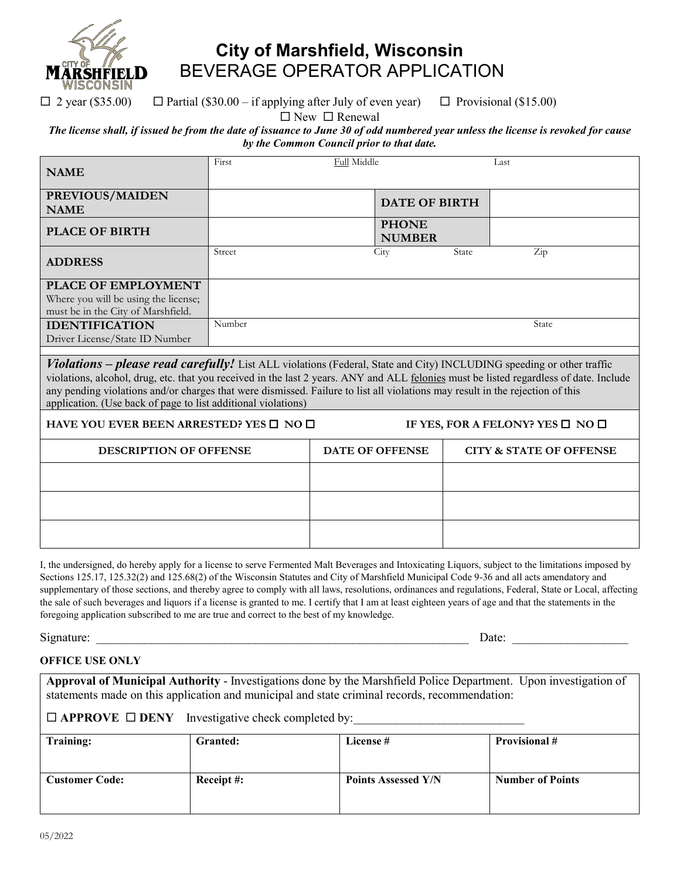

## **City of Marshfield, Wisconsin** BEVERAGE OPERATOR APPLICATION

 $\Box$  2 year (\$35.00)  $\Box$  Partial (\$30.00 – if applying after July of even year)  $\Box$  Provisional (\$15.00)

 $\square$  New  $\square$  Renewal

## *The license shall, if issued be from the date of issuance to June 30 of odd numbered year unless the license is revoked for cause by the Common Council prior to that date.*

| <b>NAME</b>                                                                                                                                                                                                                                                                                                                                                                                                                                                              | First  | <b>Full Middle</b>            |       | Last                               |  |  |
|--------------------------------------------------------------------------------------------------------------------------------------------------------------------------------------------------------------------------------------------------------------------------------------------------------------------------------------------------------------------------------------------------------------------------------------------------------------------------|--------|-------------------------------|-------|------------------------------------|--|--|
| PREVIOUS/MAIDEN<br><b>NAME</b>                                                                                                                                                                                                                                                                                                                                                                                                                                           |        | <b>DATE OF BIRTH</b>          |       |                                    |  |  |
| <b>PLACE OF BIRTH</b>                                                                                                                                                                                                                                                                                                                                                                                                                                                    |        | <b>PHONE</b><br><b>NUMBER</b> |       |                                    |  |  |
| <b>ADDRESS</b>                                                                                                                                                                                                                                                                                                                                                                                                                                                           | Street | City                          | State | $\operatorname{Zip}$               |  |  |
| PLACE OF EMPLOYMENT<br>Where you will be using the license;<br>must be in the City of Marshfield.                                                                                                                                                                                                                                                                                                                                                                        |        |                               |       |                                    |  |  |
| <b>IDENTIFICATION</b><br>Driver License/State ID Number                                                                                                                                                                                                                                                                                                                                                                                                                  | Number |                               |       | State                              |  |  |
| <b>Violations – please read carefully!</b> List ALL violations (Federal, State and City) INCLUDING speeding or other traffic<br>violations, alcohol, drug, etc. that you received in the last 2 years. ANY and ALL felonies must be listed regardless of date. Include<br>any pending violations and/or charges that were dismissed. Failure to list all violations may result in the rejection of this<br>application. (Use back of page to list additional violations) |        |                               |       |                                    |  |  |
| HAVE YOU EVER BEEN ARRESTED? YES $\square$ NO $\square$<br>IF YES, FOR A FELONY? YES $\square$ NO $\square$                                                                                                                                                                                                                                                                                                                                                              |        |                               |       |                                    |  |  |
| <b>DESCRIPTION OF OFFENSE</b>                                                                                                                                                                                                                                                                                                                                                                                                                                            |        | DATE OF OFFENSE               |       | <b>CITY &amp; STATE OF OFFENSE</b> |  |  |
|                                                                                                                                                                                                                                                                                                                                                                                                                                                                          |        |                               |       |                                    |  |  |
|                                                                                                                                                                                                                                                                                                                                                                                                                                                                          |        |                               |       |                                    |  |  |
|                                                                                                                                                                                                                                                                                                                                                                                                                                                                          |        |                               |       |                                    |  |  |
|                                                                                                                                                                                                                                                                                                                                                                                                                                                                          |        |                               |       |                                    |  |  |

I, the undersigned, do hereby apply for a license to serve Fermented Malt Beverages and Intoxicating Liquors, subject to the limitations imposed by Sections 125.17, 125.32(2) and 125.68(2) of the Wisconsin Statutes and City of Marshfield Municipal Code 9-36 and all acts amendatory and supplementary of those sections, and thereby agree to comply with all laws, resolutions, ordinances and regulations, Federal, State or Local, affecting the sale of such beverages and liquors if a license is granted to me. I certify that I am at least eighteen years of age and that the statements in the foregoing application subscribed to me are true and correct to the best of my knowledge.

Signature: \_\_\_\_\_\_\_\_\_\_\_\_\_\_\_\_\_\_\_\_\_\_\_\_\_\_\_\_\_\_\_\_\_\_\_\_\_\_\_\_\_\_\_\_\_\_\_\_\_\_\_\_\_\_\_\_\_\_\_\_\_ Date: \_\_\_\_\_\_\_\_\_\_\_\_\_\_\_\_\_\_\_

## **OFFICE USE ONLY**

**Approval of Municipal Authority** - Investigations done by the Marshfield Police Department. Upon investigation of statements made on this application and municipal and state criminal records, recommendation:

 $\Box$  **APPROVE**  $\Box$  **DENY** Investigative check completed by:

| <b>Training:</b>      | Granted:  | License #                  | <b>Provisional</b> #    |
|-----------------------|-----------|----------------------------|-------------------------|
| <b>Customer Code:</b> | Receipt#: | <b>Points Assessed Y/N</b> | <b>Number of Points</b> |